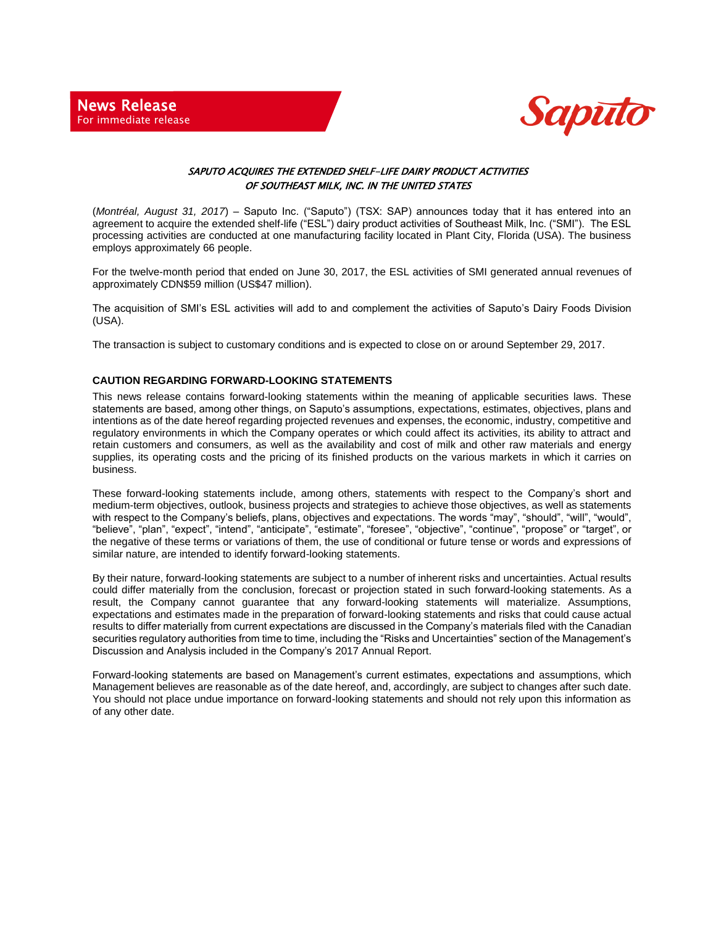

## SAPUTO ACQUIRES THE EXTENDED SHELF-LIFE DAIRY PRODUCT ACTIVITIES OF SOUTHEAST MILK, INC. IN THE UNITED STATES

 (*Montréal, August 31, 2017*) – Saputo Inc. ("Saputo") (TSX: SAP) announces today that it has entered into an agreement to acquire the extended shelf-life ("ESL") dairy product activities of Southeast Milk, Inc. ("SMI"). The ESL processing activities are conducted at one manufacturing facility located in Plant City, Florida (USA). The business employs approximately 66 people.

For the twelve-month period that ended on June 30, 2017, the ESL activities of SMI generated annual revenues of approximately CDN\$59 million (US\$47 million).

The acquisition of SMI's ESL activities will add to and complement the activities of Saputo's Dairy Foods Division (USA).

The transaction is subject to customary conditions and is expected to close on or around September 29, 2017.

## **CAUTION REGARDING FORWARD-LOOKING STATEMENTS**

This news release contains forward-looking statements within the meaning of applicable securities laws. These statements are based, among other things, on Saputo's assumptions, expectations, estimates, objectives, plans and intentions as of the date hereof regarding projected revenues and expenses, the economic, industry, competitive and regulatory environments in which the Company operates or which could affect its activities, its ability to attract and retain customers and consumers, as well as the availability and cost of milk and other raw materials and energy supplies, its operating costs and the pricing of its finished products on the various markets in which it carries on business.

These forward-looking statements include, among others, statements with respect to the Company's short and medium-term objectives, outlook, business projects and strategies to achieve those objectives, as well as statements with respect to the Company's beliefs, plans, objectives and expectations. The words "may", "should", "will", "would", "believe", "plan", "expect", "intend", "anticipate", "estimate", "foresee", "objective", "continue", "propose" or "target", or the negative of these terms or variations of them, the use of conditional or future tense or words and expressions of similar nature, are intended to identify forward-looking statements.

By their nature, forward-looking statements are subject to a number of inherent risks and uncertainties. Actual results could differ materially from the conclusion, forecast or projection stated in such forward-looking statements. As a result, the Company cannot guarantee that any forward-looking statements will materialize. Assumptions, expectations and estimates made in the preparation of forward-looking statements and risks that could cause actual results to differ materially from current expectations are discussed in the Company's materials filed with the Canadian securities regulatory authorities from time to time, including the "Risks and Uncertainties" section of the Management's Discussion and Analysis included in the Company's 2017 Annual Report.

Forward-looking statements are based on Management's current estimates, expectations and assumptions, which Management believes are reasonable as of the date hereof, and, accordingly, are subject to changes after such date. You should not place undue importance on forward-looking statements and should not rely upon this information as of any other date.